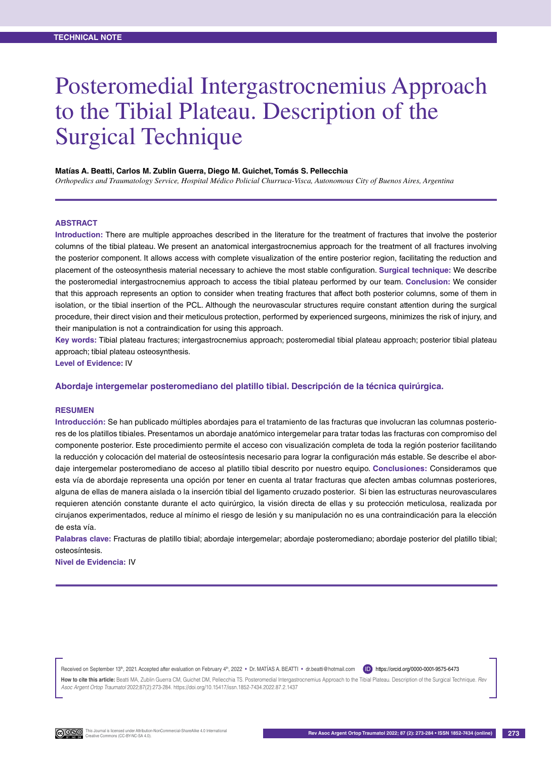# Posteromedial Intergastrocnemius Approach to the Tibial Plateau. Description of the Surgical Technique

#### **Matías A. Beatti, Carlos M. Zublin Guerra, Diego M. Guichet, Tomás S. Pellecchia**

*Orthopedics and Traumatology Service, Hospital Médico Policial Churruca-Visca, Autonomous City of Buenos Aires, Argentina*

#### **Abstract**

**Introduction:** There are multiple approaches described in the literature for the treatment of fractures that involve the posterior columns of the tibial plateau. We present an anatomical intergastrocnemius approach for the treatment of all fractures involving the posterior component. It allows access with complete visualization of the entire posterior region, facilitating the reduction and placement of the osteosynthesis material necessary to achieve the most stable configuration. **Surgical technique:** We describe the posteromedial intergastrocnemius approach to access the tibial plateau performed by our team. **Conclusion:** We consider that this approach represents an option to consider when treating fractures that affect both posterior columns, some of them in isolation, or the tibial insertion of the PCL. Although the neurovascular structures require constant attention during the surgical procedure, their direct vision and their meticulous protection, performed by experienced surgeons, minimizes the risk of injury, and their manipulation is not a contraindication for using this approach.

**Key words:** Tibial plateau fractures; intergastrocnemius approach; posteromedial tibial plateau approach; posterior tibial plateau approach; tibial plateau osteosynthesis.

**Level of Evidence:** IV

**Abordaje intergemelar posteromediano del platillo tibial. Descripción de la técnica quirúrgica.**

## **Resumen**

**Introducción:** Se han publicado múltiples abordajes para el tratamiento de las fracturas que involucran las columnas posteriores de los platillos tibiales. Presentamos un abordaje anatómico intergemelar para tratar todas las fracturas con compromiso del componente posterior. Este procedimiento permite el acceso con visualización completa de toda la región posterior facilitando la reducción y colocación del material de osteosíntesis necesario para lograr la configuración más estable. Se describe el abordaje intergemelar posteromediano de acceso al platillo tibial descrito por nuestro equipo. **Conclusiones:** Consideramos que esta vía de abordaje representa una opción por tener en cuenta al tratar fracturas que afecten ambas columnas posteriores, alguna de ellas de manera aislada o la inserción tibial del ligamento cruzado posterior. Si bien las estructuras neurovasculares requieren atención constante durante el acto quirúrgico, la visión directa de ellas y su protección meticulosa, realizada por cirujanos experimentados, reduce al mínimo el riesgo de lesión y su manipulación no es una contraindicación para la elección de esta vía.

**Palabras clave:** Fracturas de platillo tibial; abordaje intergemelar; abordaje posteromediano; abordaje posterior del platillo tibial; osteosíntesis.

**Nivel de Evidencia:** IV

Received on September 13th, 2021. Accepted after evaluation on February 4th, 2022 • Dr. MATIAS A. BEATTI • dr.beatti@hotmail.com (D) https://orcid.org/0000-0001-9575-6473

How to cite this article: Beatti MA, Zublin Guerra CM, Guichet DM, Pellecchia TS. Posteromedial Intergastrocnemius Approach to the Tibial Plateau. Description of the Surgical Technique. Rev *Asoc Argent Ortop Traumatol* 2022;87(2):273-284. https://doi.org/10.15417/issn.1852-7434.2022.87.2.1437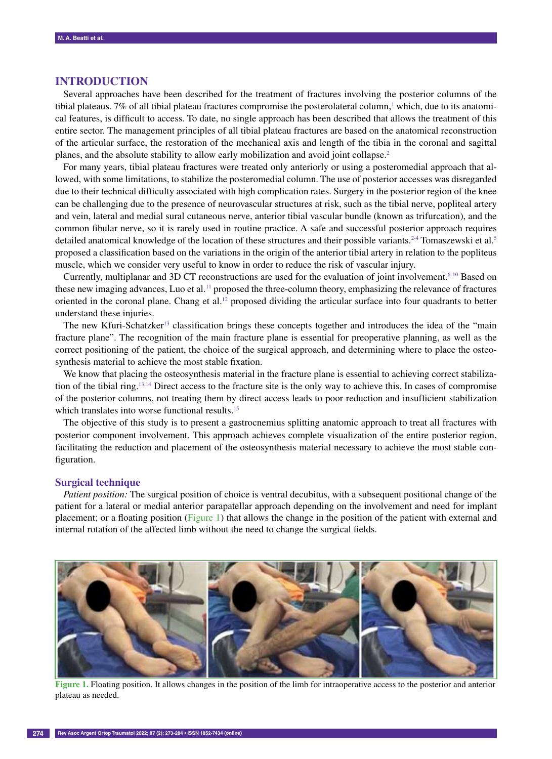## **IntroducTION**

Several approaches have been described for the treatment of fractures involving the posterior columns of the tibial plateaus. 7% of all tibial plateau fractures compromise the posterolateral column, 1 which, due to its anatomical features, is difficult to access. To date, no single approach has been described that allows the treatment of this entire sector. The management principles of all tibial plateau fractures are based on the anatomical reconstruction of the articular surface, the restoration of the mechanical axis and length of the tibia in the coronal and sagittal planes, and the absolute stability to allow early mobilization and avoid joint collapse.2

For many years, tibial plateau fractures were treated only anteriorly or using a posteromedial approach that allowed, with some limitations, to stabilize the posteromedial column. The use of posterior accesses was disregarded due to their technical difficulty associated with high complication rates. Surgery in the posterior region of the knee can be challenging due to the presence of neurovascular structures at risk, such as the tibial nerve, popliteal artery and vein, lateral and medial sural cutaneous nerve, anterior tibial vascular bundle (known as trifurcation), and the common fibular nerve, so it is rarely used in routine practice. A safe and successful posterior approach requires detailed anatomical knowledge of the location of these structures and their possible variants.<sup>2-4</sup> Tomaszewski et al.<sup>5</sup> proposed a classification based on the variations in the origin of the anterior tibial artery in relation to the popliteus muscle, which we consider very useful to know in order to reduce the risk of vascular injury.

Currently, multiplanar and 3D CT reconstructions are used for the evaluation of joint involvement.6-10 Based on these new imaging advances, Luo et al.<sup>11</sup> proposed the three-column theory, emphasizing the relevance of fractures oriented in the coronal plane. Chang et al.<sup>12</sup> proposed dividing the articular surface into four quadrants to better understand these injuries.

The new Kfuri-Schatzker<sup>13</sup> classification brings these concepts together and introduces the idea of the "main" fracture plane". The recognition of the main fracture plane is essential for preoperative planning, as well as the correct positioning of the patient, the choice of the surgical approach, and determining where to place the osteosynthesis material to achieve the most stable fixation.

We know that placing the osteosynthesis material in the fracture plane is essential to achieving correct stabilization of the tibial ring.13,14 Direct access to the fracture site is the only way to achieve this. In cases of compromise of the posterior columns, not treating them by direct access leads to poor reduction and insufficient stabilization which translates into worse functional results.<sup>15</sup>

The objective of this study is to present a gastrocnemius splitting anatomic approach to treat all fractures with posterior component involvement. This approach achieves complete visualization of the entire posterior region, facilitating the reduction and placement of the osteosynthesis material necessary to achieve the most stable configuration.

## **Surgical technique**

*Patient position:* The surgical position of choice is ventral decubitus, with a subsequent positional change of the patient for a lateral or medial anterior parapatellar approach depending on the involvement and need for implant placement; or a floating position (Figure 1) that allows the change in the position of the patient with external and internal rotation of the affected limb without the need to change the surgical fields.



**Figure 1.** Floating position. It allows changes in the position of the limb for intraoperative access to the posterior and anterior plateau as needed.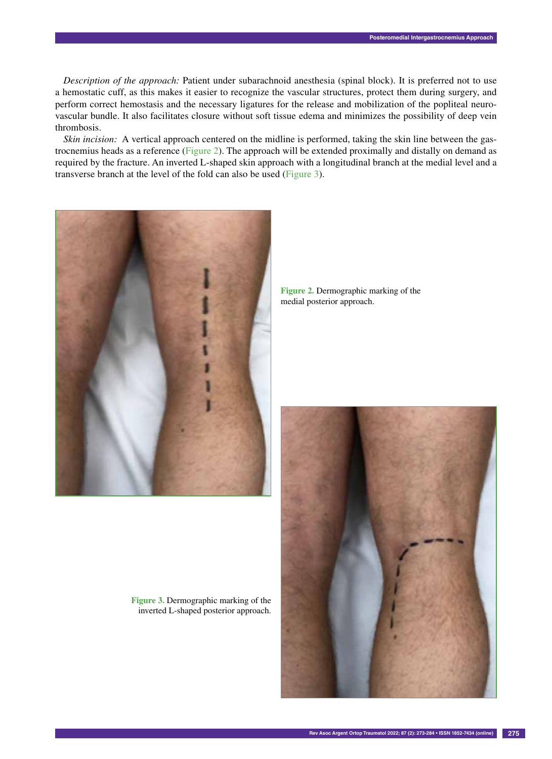*Description of the approach:* Patient under subarachnoid anesthesia (spinal block). It is preferred not to use a hemostatic cuff, as this makes it easier to recognize the vascular structures, protect them during surgery, and perform correct hemostasis and the necessary ligatures for the release and mobilization of the popliteal neurovascular bundle. It also facilitates closure without soft tissue edema and minimizes the possibility of deep vein thrombosis.

*Skin incision:* A vertical approach centered on the midline is performed, taking the skin line between the gastrocnemius heads as a reference (Figure 2). The approach will be extended proximally and distally on demand as required by the fracture. An inverted L-shaped skin approach with a longitudinal branch at the medial level and a transverse branch at the level of the fold can also be used (Figure 3).



**Figure 2.** Dermographic marking of the medial posterior approach.



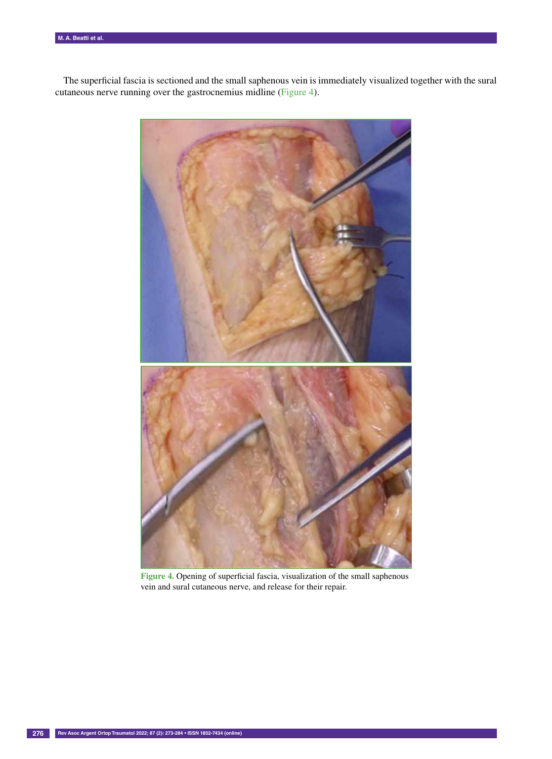The superficial fascia is sectioned and the small saphenous vein is immediately visualized together with the sural cutaneous nerve running over the gastrocnemius midline (Figure 4).



**Figure 4.** Opening of superficial fascia, visualization of the small saphenous vein and sural cutaneous nerve, and release for their repair.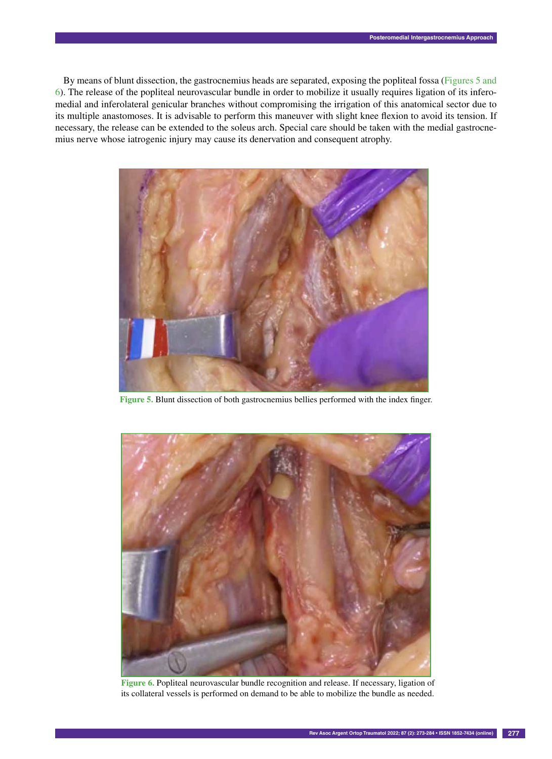By means of blunt dissection, the gastrocnemius heads are separated, exposing the popliteal fossa (Figures 5 and 6). The release of the popliteal neurovascular bundle in order to mobilize it usually requires ligation of its inferomedial and inferolateral genicular branches without compromising the irrigation of this anatomical sector due to its multiple anastomoses. It is advisable to perform this maneuver with slight knee flexion to avoid its tension. If necessary, the release can be extended to the soleus arch. Special care should be taken with the medial gastrocnemius nerve whose iatrogenic injury may cause its denervation and consequent atrophy.



**Figure 5.** Blunt dissection of both gastrocnemius bellies performed with the index finger.



**Figure 6.** Popliteal neurovascular bundle recognition and release. If necessary, ligation of its collateral vessels is performed on demand to be able to mobilize the bundle as needed.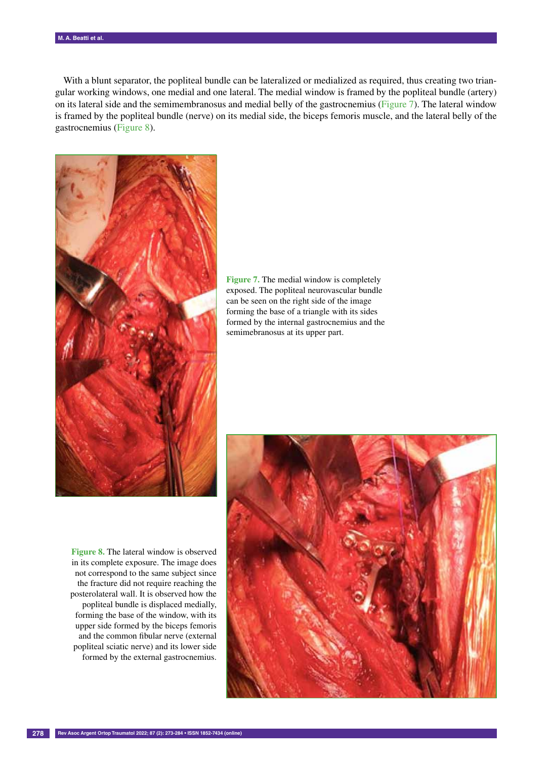With a blunt separator, the popliteal bundle can be lateralized or medialized as required, thus creating two triangular working windows, one medial and one lateral. The medial window is framed by the popliteal bundle (artery) on its lateral side and the semimembranosus and medial belly of the gastrocnemius (Figure 7). The lateral window is framed by the popliteal bundle (nerve) on its medial side, the biceps femoris muscle, and the lateral belly of the gastrocnemius (Figure 8).



**Figure 7.** The medial window is completely exposed. The popliteal neurovascular bundle can be seen on the right side of the image forming the base of a triangle with its sides formed by the internal gastrocnemius and the semimebranosus at its upper part.

**Figure 8.** The lateral window is observed in its complete exposure. The image does not correspond to the same subject since the fracture did not require reaching the posterolateral wall. It is observed how the popliteal bundle is displaced medially, forming the base of the window, with its upper side formed by the biceps femoris and the common fibular nerve (external popliteal sciatic nerve) and its lower side formed by the external gastrocnemius.

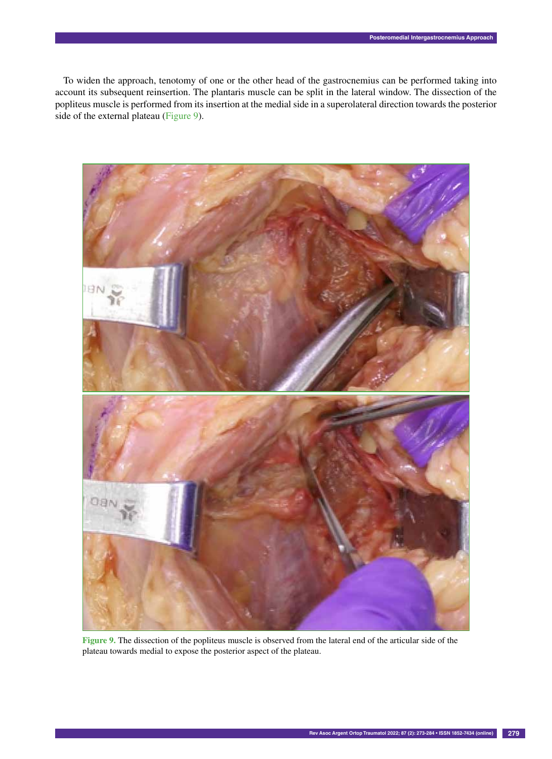To widen the approach, tenotomy of one or the other head of the gastrocnemius can be performed taking into account its subsequent reinsertion. The plantaris muscle can be split in the lateral window. The dissection of the popliteus muscle is performed from its insertion at the medial side in a superolateral direction towards the posterior side of the external plateau (Figure 9).



**Figure 9.** The dissection of the popliteus muscle is observed from the lateral end of the articular side of the plateau towards medial to expose the posterior aspect of the plateau.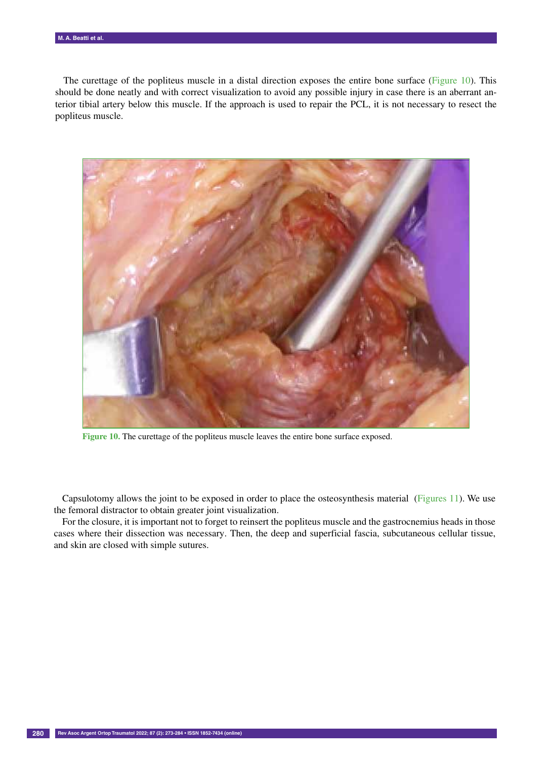The curettage of the popliteus muscle in a distal direction exposes the entire bone surface (Figure 10). This should be done neatly and with correct visualization to avoid any possible injury in case there is an aberrant anterior tibial artery below this muscle. If the approach is used to repair the PCL, it is not necessary to resect the popliteus muscle.



**Figure 10.** The curettage of the popliteus muscle leaves the entire bone surface exposed.

Capsulotomy allows the joint to be exposed in order to place the osteosynthesis material (Figures 11). We use the femoral distractor to obtain greater joint visualization.

For the closure, it is important not to forget to reinsert the popliteus muscle and the gastrocnemius heads in those cases where their dissection was necessary. Then, the deep and superficial fascia, subcutaneous cellular tissue, and skin are closed with simple sutures.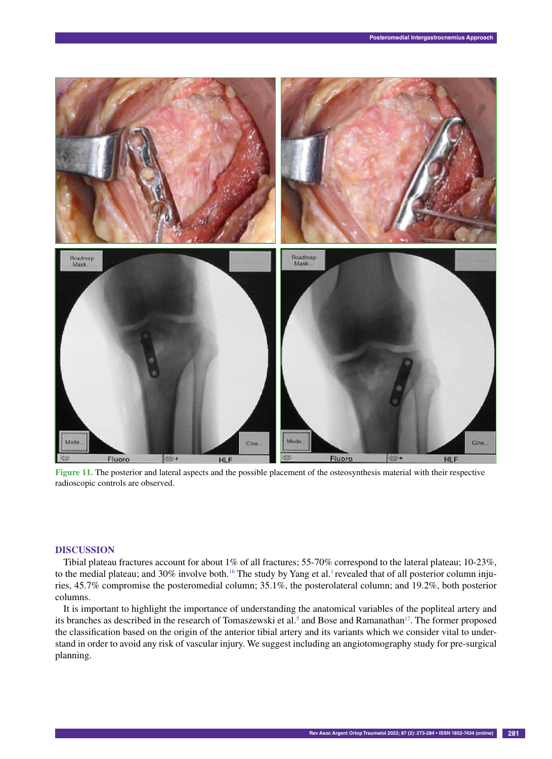

**Figure 11.** The posterior and lateral aspects and the possible placement of the osteosynthesis material with their respective radioscopic controls are observed.

## **DiscuSsiOn**

Tibial plateau fractures account for about 1% of all fractures; 55-70% correspond to the lateral plateau; 10-23%, to the medial plateau; and 30% involve both.<sup>16</sup> The study by Yang et al.<sup>1</sup> revealed that of all posterior column injuries, 45.7% compromise the posteromedial column; 35.1%, the posterolateral column; and 19.2%, both posterior columns.

It is important to highlight the importance of understanding the anatomical variables of the popliteal artery and its branches as described in the research of Tomaszewski et al.<sup>5</sup> and Bose and Ramanathan<sup>17</sup>. The former proposed the classification based on the origin of the anterior tibial artery and its variants which we consider vital to understand in order to avoid any risk of vascular injury. We suggest including an angiotomography study for pre-surgical planning.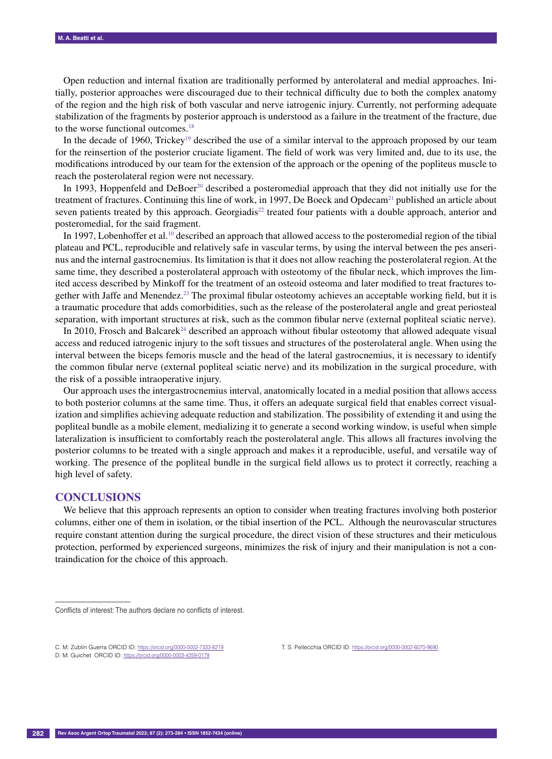Open reduction and internal fixation are traditionally performed by anterolateral and medial approaches. Initially, posterior approaches were discouraged due to their technical difficulty due to both the complex anatomy of the region and the high risk of both vascular and nerve iatrogenic injury. Currently, not performing adequate stabilization of the fragments by posterior approach is understood as a failure in the treatment of the fracture, due to the worse functional outcomes.<sup>18</sup>

In the decade of 1960, Trickey<sup>19</sup> described the use of a similar interval to the approach proposed by our team for the reinsertion of the posterior cruciate ligament. The field of work was very limited and, due to its use, the modifications introduced by our team for the extension of the approach or the opening of the popliteus muscle to reach the posterolateral region were not necessary.

In 1993, Hoppenfeld and DeBoer<sup>20</sup> described a posteromedial approach that they did not initially use for the treatment of fractures. Continuing this line of work, in 1997. De Boeck and Opdecam<sup>21</sup> published an article about seven patients treated by this approach. Georgiadis<sup>22</sup> treated four patients with a double approach, anterior and posteromedial, for the said fragment.

In 1997, Lobenhoffer et al.<sup>10</sup> described an approach that allowed access to the posteromedial region of the tibial plateau and PCL, reproducible and relatively safe in vascular terms, by using the interval between the pes anserinus and the internal gastrocnemius. Its limitation is that it does not allow reaching the posterolateral region. At the same time, they described a posterolateral approach with osteotomy of the fibular neck, which improves the limited access described by Minkoff for the treatment of an osteoid osteoma and later modified to treat fractures together with Jaffe and Menendez.23 The proximal fibular osteotomy achieves an acceptable working field, but it is a traumatic procedure that adds comorbidities, such as the release of the posterolateral angle and great periosteal separation, with important structures at risk, such as the common fibular nerve (external popliteal sciatic nerve).

In 2010, Frosch and Balcare $k^{24}$  described an approach without fibular osteotomy that allowed adequate visual access and reduced iatrogenic injury to the soft tissues and structures of the posterolateral angle. When using the interval between the biceps femoris muscle and the head of the lateral gastrocnemius, it is necessary to identify the common fibular nerve (external popliteal sciatic nerve) and its mobilization in the surgical procedure, with the risk of a possible intraoperative injury.

Our approach uses the intergastrocnemius interval, anatomically located in a medial position that allows access to both posterior columns at the same time. Thus, it offers an adequate surgical field that enables correct visualization and simplifies achieving adequate reduction and stabilization. The possibility of extending it and using the popliteal bundle as a mobile element, medializing it to generate a second working window, is useful when simple lateralization is insufficient to comfortably reach the posterolateral angle. This allows all fractures involving the posterior columns to be treated with a single approach and makes it a reproducible, useful, and versatile way of working. The presence of the popliteal bundle in the surgical field allows us to protect it correctly, reaching a high level of safety.

#### **ConclusionS**

––––––––––––––––––

We believe that this approach represents an option to consider when treating fractures involving both posterior columns, either one of them in isolation, or the tibial insertion of the PCL. Although the neurovascular structures require constant attention during the surgical procedure, the direct vision of these structures and their meticulous protection, performed by experienced surgeons, minimizes the risk of injury and their manipulation is not a contraindication for the choice of this approach.

Conflicts of interest: The authors declare no conflicts of interest.

C. M. Zublin Guerra ORCID ID: https://orcid.org/0000-0002-7333-8219

D. M. Guichet ORCID ID: https://orcid.org/0000-0003-4259-0179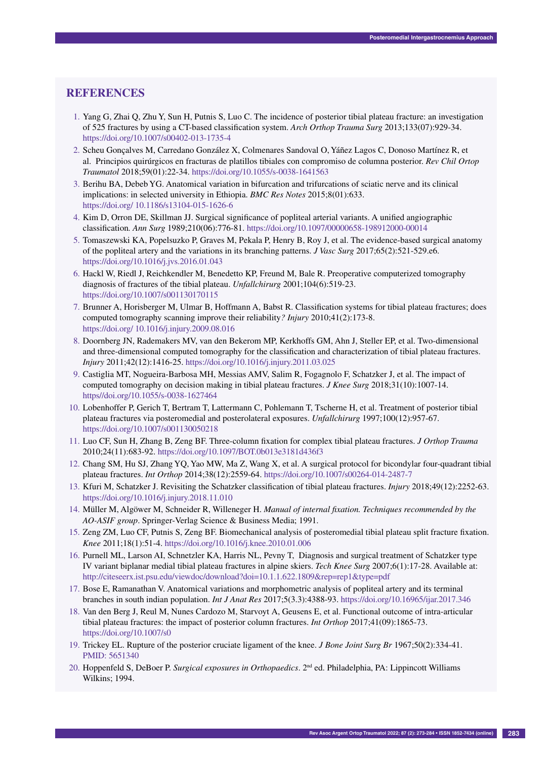## **REFERENCES**

- 1. Yang G, Zhai Q, Zhu Y, Sun H, Putnis S, Luo C. The incidence of posterior tibial plateau fracture: an investigation of 525 fractures by using a CT-based classification system. *Arch Orthop Trauma Surg* 2013;133(07):929-34. https://doi.org/10.1007/s00402-013-1735-4
- 2. Scheu Gonçalves M, Carredano González X, Colmenares Sandoval O, Yáñez Lagos C, Donoso Martínez R, et al. Principios quirúrgicos en fracturas de platillos tibiales con compromiso de columna posterior. *Rev Chil Ortop Traumatol* 2018;59(01):22-34. https://doi.org/10.1055/s-0038-1641563
- 3. Berihu BA, Debeb YG. Anatomical variation in bifurcation and trifurcations of sciatic nerve and its clinical implications: in selected university in Ethiopia. *BMC Res Notes* 2015;8(01):633. https://doi.org/ 10.1186/s13104-015-1626-6
- 4. Kim D, Orron DE, Skillman JJ. Surgical significance of popliteal arterial variants. A unified angiographic classification*. Ann Surg* 1989;210(06):776-81. https://doi.org/10.1097/00000658-198912000-00014
- 5. Tomaszewski KA, Popelsuzko P, Graves M, Pekala P, Henry B, Roy J, et al. The evidence-based surgical anatomy of the popliteal artery and the variations in its branching patterns. *J Vasc Surg* 2017;65(2):521-529.e6. https://doi.org/10.1016/j.jvs.2016.01.043
- 6. Hackl W, Riedl J, Reichkendler M, Benedetto KP, Freund M, Bale R. Preoperative computerized tomography diagnosis of fractures of the tibial plateau. *Unfallchirurg* 2001;104(6):519-23. https://doi.org/10.1007/s001130170115
- 7. Brunner A, Horisberger M, Ulmar B, Hoffmann A, Babst R. Classification systems for tibial plateau fractures; does computed tomography scanning improve their reliability*? Injury* 2010;41(2):173-8. https://doi.org/ 10.1016/j.injury.2009.08.016
- 8. Doornberg JN, Rademakers MV, van den Bekerom MP, Kerkhoffs GM, Ahn J, Steller EP, et al. Two-dimensional and three-dimensional computed tomography for the classification and characterization of tibial plateau fractures. *Injury* 2011;42(12):1416-25. https://doi.org/10.1016/j.injury.2011.03.025
- 9. Castiglia MT, Nogueira-Barbosa MH, Messias AMV, Salim R, Fogagnolo F, Schatzker J, et al. The impact of computed tomography on decision making in tibial plateau fractures. *J Knee Surg* 2018;31(10):1007-14. https//doi.org/10.1055/s-0038-1627464
- 10. Lobenhoffer P, Gerich T, Bertram T, Lattermann C, Pohlemann T, Tscherne H, et al. Treatment of posterior tibial plateau fractures via posteromedial and posterolateral exposures. *Unfallchirurg* 1997;100(12):957-67. https://doi.org/10.1007/s001130050218
- 11. Luo CF, Sun H, Zhang B, Zeng BF. Three-column fixation for complex tibial plateau fractures. *J Orthop Trauma* 2010;24(11):683-92. https://doi.org/10.1097/BOT.0b013e3181d436f3
- 12. Chang SM, Hu SJ, Zhang YQ, Yao MW, Ma Z, Wang X, et al. A surgical protocol for bicondylar four-quadrant tibial plateau fractures. *Int Orthop* 2014;38(12):2559-64. https://doi.org/10.1007/s00264-014-2487-7
- 13. Kfuri M, Schatzker J. Revisiting the Schatzker classification of tibial plateau fractures. *Injury* 2018;49(12):2252-63. https://doi.org/10.1016/j.injury.2018.11.010
- 14. Müller M, Algöwer M, Schneider R, Willeneger H. *Manual of internal fixation. Techniques recommended by the AO-ASIF group*. Springer-Verlag Science & Business Media; 1991.
- 15. Zeng ZM, Luo CF, Putnis S, Zeng BF. Biomechanical analysis of posteromedial tibial plateau split fracture fixation. *Knee* 2011;18(1):51-4. https://doi.org/10.1016/j.knee.2010.01.006
- 16. Purnell ML, Larson AI, Schnetzler KA, Harris NL, Pevny T, Diagnosis and surgical treatment of Schatzker type IV variant biplanar medial tibial plateau fractures in alpine skiers. *Tech Knee Surg* 2007;6(1):17-28. Available at: http://citeseerx.ist.psu.edu/viewdoc/download?doi=10.1.1.622.1809&rep=rep1&type=pdf
- 17. Bose E, Ramanathan V. Anatomical variations and morphometric analysis of popliteal artery and its terminal branches in south indian population. *Int J Anat Res* 2017;5(3.3):4388-93. https://doi.org/10.16965/ijar.2017.346
- 18. Van den Berg J, Reul M, Nunes Cardozo M, Starvoyt A, Geusens E, et al. Functional outcome of intra-articular tibial plateau fractures: the impact of posterior column fractures. *Int Orthop* 2017;41(09):1865-73. https://doi.org/10.1007/s0
- 19. Trickey EL. Rupture of the posterior cruciate ligament of the knee. *J Bone Joint Surg Br* 1967;50(2):334-41. PMID: 5651340
- 20. Hoppenfeld S, DeBoer P. *Surgical exposures in Orthopaedics*. 2nd ed. Philadelphia, PA: Lippincott Williams Wilkins; 1994.